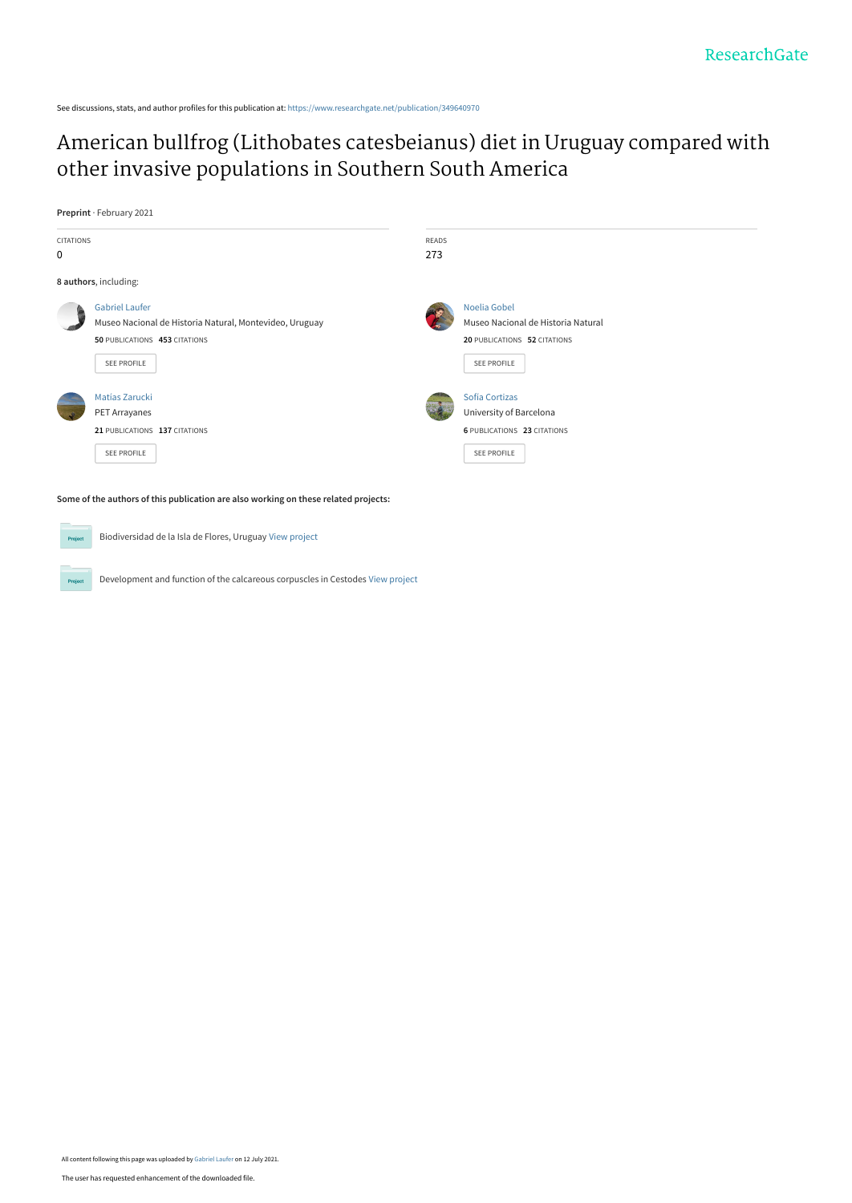See discussions, stats, and author profiles for this publication at: [https://www.researchgate.net/publication/349640970](https://www.researchgate.net/publication/349640970_American_bullfrog_Lithobates_catesbeianus_diet_in_Uruguay_compared_with_other_invasive_populations_in_Southern_South_America?enrichId=rgreq-2a32efcd54e4181b2b42b41a864eab4c-XXX&enrichSource=Y292ZXJQYWdlOzM0OTY0MDk3MDtBUzoxMDQ0ODAxNDgyOTQ0NTEyQDE2MjYxMTE0OTM1MTI%3D&el=1_x_2&_esc=publicationCoverPdf)

Biodiversidad de la Isla de Flores, Uruguay [View project](https://www.researchgate.net/project/Biodiversidad-de-la-Isla-de-Flores-Uruguay?enrichId=rgreq-2a32efcd54e4181b2b42b41a864eab4c-XXX&enrichSource=Y292ZXJQYWdlOzM0OTY0MDk3MDtBUzoxMDQ0ODAxNDgyOTQ0NTEyQDE2MjYxMTE0OTM1MTI%3D&el=1_x_9&_esc=publicationCoverPdf)

Development and function of the calcareous corpuscles in Cestodes [View project](https://www.researchgate.net/project/Development-and-function-of-the-calcareous-corpuscles-in-Cestodes?enrichId=rgreq-2a32efcd54e4181b2b42b41a864eab4c-XXX&enrichSource=Y292ZXJQYWdlOzM0OTY0MDk3MDtBUzoxMDQ0ODAxNDgyOTQ0NTEyQDE2MjYxMTE0OTM1MTI%3D&el=1_x_9&_esc=publicationCoverPdf)

# [American bullfrog \(Lithobates catesbeianus\) diet in Uruguay compared with](https://www.researchgate.net/publication/349640970_American_bullfrog_Lithobates_catesbeianus_diet_in_Uruguay_compared_with_other_invasive_populations_in_Southern_South_America?enrichId=rgreq-2a32efcd54e4181b2b42b41a864eab4c-XXX&enrichSource=Y292ZXJQYWdlOzM0OTY0MDk3MDtBUzoxMDQ0ODAxNDgyOTQ0NTEyQDE2MjYxMTE0OTM1MTI%3D&el=1_x_3&_esc=publicationCoverPdf) other invasive populations in Southern South America

**Preprint** · February 2021

**Project** 

| <b>CITATIONS</b><br>0 |                                                                                                                                  |  | <b>READS</b><br>273                                                                                      |  |  |  |  |  |  |  |
|-----------------------|----------------------------------------------------------------------------------------------------------------------------------|--|----------------------------------------------------------------------------------------------------------|--|--|--|--|--|--|--|
| 8 authors, including: |                                                                                                                                  |  |                                                                                                          |  |  |  |  |  |  |  |
|                       | <b>Gabriel Laufer</b><br>Museo Nacional de Historia Natural, Montevideo, Uruguay<br>50 PUBLICATIONS 453 CITATIONS<br>SEE PROFILE |  | Noelia Gobel<br>Museo Nacional de Historia Natural<br>20 PUBLICATIONS 52 CITATIONS<br><b>SEE PROFILE</b> |  |  |  |  |  |  |  |
|                       | Matías Zarucki<br>PET Arrayanes<br>21 PUBLICATIONS 137 CITATIONS<br>SEE PROFILE                                                  |  | Sofía Cortizas<br>University of Barcelona<br>6 PUBLICATIONS 23 CITATIONS<br><b>SEE PROFILE</b>           |  |  |  |  |  |  |  |
|                       | Some of the authors of this publication are also working on these related projects:                                              |  |                                                                                                          |  |  |  |  |  |  |  |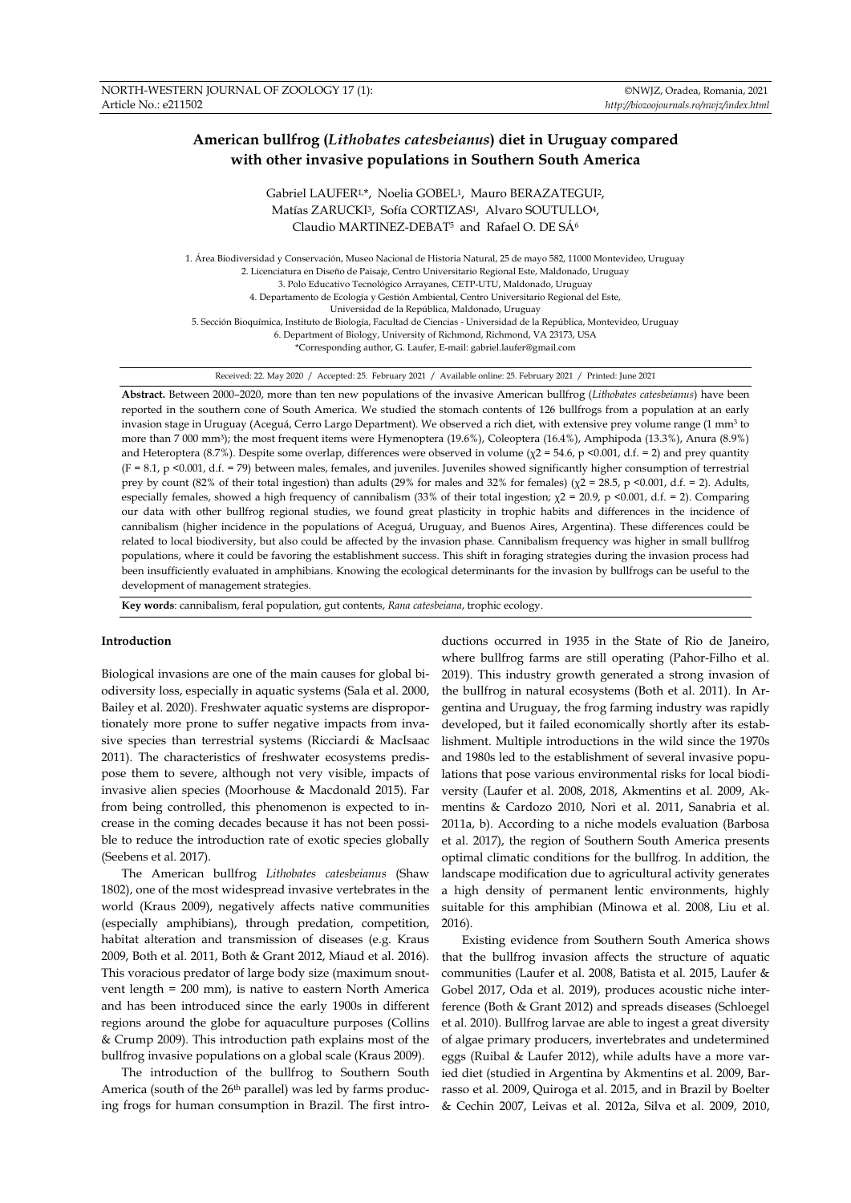## **American bullfrog (***Lithobates catesbeianus***) diet in Uruguay compared with other invasive populations in Southern South America**

Gabriel LAUFER<sup>1,\*</sup>, Noelia GOBEL<sup>1</sup>, Mauro BERAZATEGUI<sup>2</sup>, Matías ZARUCKI3, Sofía CORTIZAS1, Alvaro SOUTULLO4, Claudio MARTINEZ-DEBAT<sup>5</sup> and Rafael O. DE SÁ<sup>6</sup>

1. Área Biodiversidad y Conservación, Museo Nacional de Historia Natural, 25 de mayo 582, 11000 Montevideo, Uruguay 2. Licenciatura en Diseño de Paisaje, Centro Universitario Regional Este, Maldonado, Uruguay 3. Polo Educativo Tecnológico Arrayanes, CETP-UTU, Maldonado, Uruguay 4. Departamento de Ecología y Gestión Ambiental, Centro Universitario Regional del Este, Universidad de la República, Maldonado, Uruguay 5. Sección Bioquímica, Instituto de Biología, Facultad de Ciencias - Universidad de la República, Montevideo, Uruguay 6. Department of Biology, University of Richmond, Richmond, VA 23173, USA \*Corresponding author, G. Laufer, E-mail: gabriel.laufer@gmail.com

Received: 22. May 2020 / Accepted: 25. February 2021 / Available online: 25. February 2021 / Printed: June 2021

**Abstract.** Between 2000–2020, more than ten new populations of the invasive American bullfrog (*Lithobates catesbeianus*) have been reported in the southern cone of South America. We studied the stomach contents of 126 bullfrogs from a population at an early invasion stage in Uruguay (Aceguá, Cerro Largo Department). We observed a rich diet, with extensive prey volume range (1 mm<sup>3</sup> to more than 7 000 mm<sup>3</sup> ); the most frequent items were Hymenoptera (19.6%), Coleoptera (16.4%), Amphipoda (13.3%), Anura (8.9%) and Heteroptera (8.7%). Despite some overlap, differences were observed in volume ( $\chi$ 2 = 54.6, p <0.001, d.f. = 2) and prey quantity (F = 8.1, p <0.001, d.f. = 79) between males, females, and juveniles. Juveniles showed significantly higher consumption of terrestrial prey by count (82% of their total ingestion) than adults (29% for males and 32% for females) ( $\chi$ 2 = 28.5, p <0.001, d.f. = 2). Adults, especially females, showed a high frequency of cannibalism (33% of their total ingestion;  $\chi$ 2 = 20.9, p <0.001, d.f. = 2). Comparing our data with other bullfrog regional studies, we found great plasticity in trophic habits and differences in the incidence of cannibalism (higher incidence in the populations of Aceguá, Uruguay, and Buenos Aires, Argentina). These differences could be related to local biodiversity, but also could be affected by the invasion phase. Cannibalism frequency was higher in small bullfrog populations, where it could be favoring the establishment success. This shift in foraging strategies during the invasion process had been insufficiently evaluated in amphibians. Knowing the ecological determinants for the invasion by bullfrogs can be useful to the development of management strategies.

**Key words**: cannibalism, feral population, gut contents, *Rana catesbeiana*, trophic ecology.

## **Introduction**

Biological invasions are one of the main causes for global biodiversity loss, especially in aquatic systems (Sala et al. 2000, Bailey et al. 2020). Freshwater aquatic systems are disproportionately more prone to suffer negative impacts from invasive species than terrestrial systems (Ricciardi & MacIsaac 2011). The characteristics of freshwater ecosystems predispose them to severe, although not very visible, impacts of invasive alien species (Moorhouse & Macdonald 2015). Far from being controlled, this phenomenon is expected to increase in the coming decades because it has not been possible to reduce the introduction rate of exotic species globally (Seebens et al. 2017).

The American bullfrog *Lithobates catesbeianus* (Shaw 1802), one of the most widespread invasive vertebrates in the world (Kraus 2009), negatively affects native communities (especially amphibians), through predation, competition, habitat alteration and transmission of diseases (e.g. Kraus 2009, Both et al. 2011, Both & Grant 2012, Miaud et al. 2016). This voracious predator of large body size (maximum snoutvent length = 200 mm), is native to eastern North America and has been introduced since the early 1900s in different regions around the globe for aquaculture purposes (Collins & Crump 2009). This introduction path explains most of the bullfrog invasive populations on a global scale (Kraus 2009).

The introduction of the bullfrog to Southern South America (south of the 26th parallel) was led by farms producing frogs for human consumption in Brazil. The first intro-

ductions occurred in 1935 in the State of Rio de Janeiro, where bullfrog farms are still operating (Pahor-Filho et al. 2019). This industry growth generated a strong invasion of the bullfrog in natural ecosystems (Both et al. 2011). In Argentina and Uruguay, the frog farming industry was rapidly developed, but it failed economically shortly after its establishment. Multiple introductions in the wild since the 1970s and 1980s led to the establishment of several invasive populations that pose various environmental risks for local biodiversity (Laufer et al. 2008, 2018, Akmentins et al. 2009, Akmentins & Cardozo 2010, Nori et al. 2011, Sanabria et al. 2011a, b). According to a niche models evaluation (Barbosa et al. 2017), the region of Southern South America presents optimal climatic conditions for the bullfrog. In addition, the landscape modification due to agricultural activity generates a high density of permanent lentic environments, highly suitable for this amphibian (Minowa et al. 2008, Liu et al. 2016).

Existing evidence from Southern South America shows that the bullfrog invasion аffects the structure of aquatic communities (Laufer et al. 2008, Batista et al. 2015, Laufer & Gobel 2017, Oda et al. 2019), produces acoustic niche interference (Both & Grant 2012) and spreads diseases (Schloegel et al. 2010). Bullfrog larvae are able to ingest a great diversity of algae primary producers, invertebrates and undetermined eggs (Ruibal & Laufer 2012), while adults have a more varied diet (studied in Argentina by Akmentins et al. 2009, Barrasso et al. 2009, Quiroga et al. 2015, and in Brazil by Boelter & Cechin 2007, Leivas et al. 2012a, Silva et al. 2009, 2010,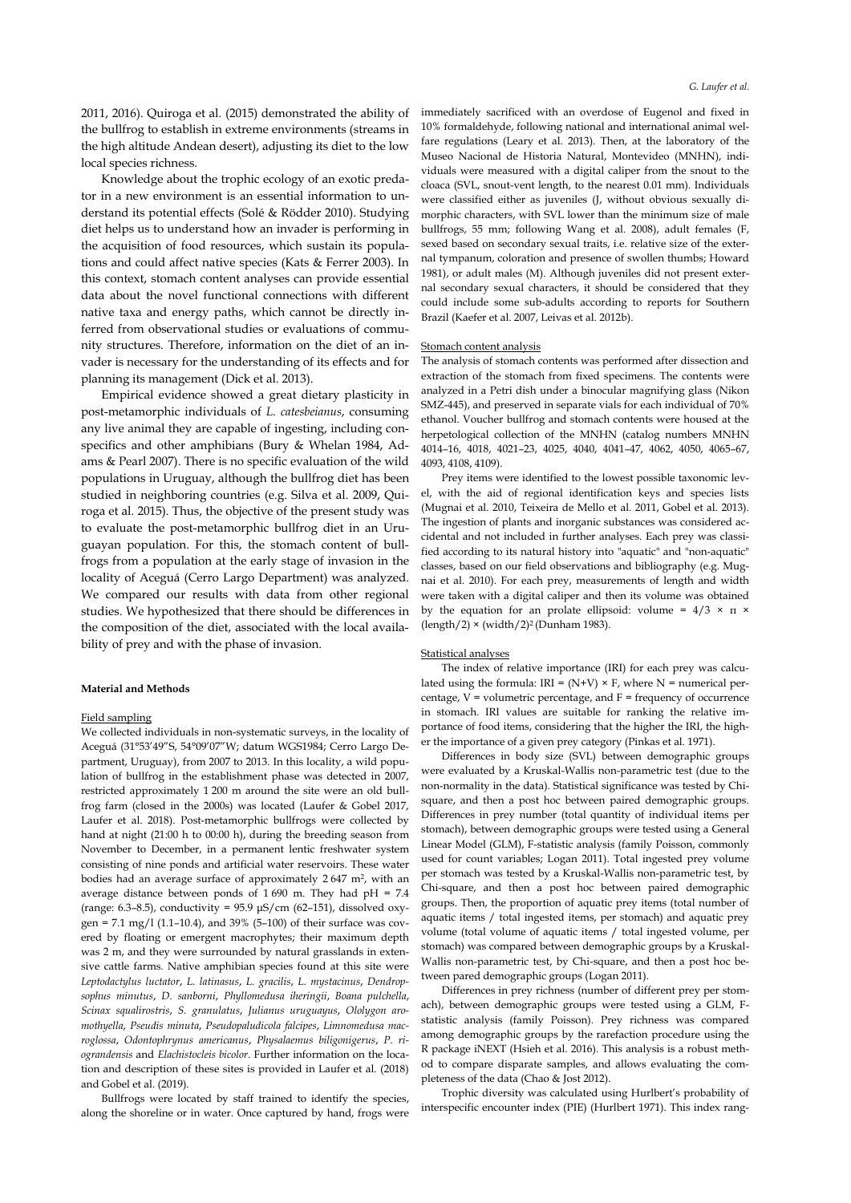2011, 2016). Quiroga et al. (2015) demonstrated the ability of the bullfrog to establish in extreme environments (streams in the high altitude Andean desert), adjusting its diet to the low local species richness.

Knowledge about the trophic ecology of an exotic predator in a new environment is an essential information to understand its potential effects (Solé & Rödder 2010). Studying diet helps us to understand how an invader is performing in the acquisition of food resources, which sustain its populations and could affect native species (Kats & Ferrer 2003). In this context, stomach content analyses can provide essential data about the novel functional connections with different native taxa and energy paths, which cannot be directly inferred from observational studies or evaluations of community structures. Therefore, information on the diet of an invader is necessary for the understanding of its effects and for planning its management (Dick et al. 2013).

Empirical evidence showed a great dietary plasticity in post-metamorphic individuals of *L. catesbeianus*, consuming any live animal they are capable of ingesting, including conspecifics and other amphibians (Bury & Whelan 1984, Adams & Pearl 2007). There is no specific evaluation of the wild populations in Uruguay, although the bullfrog diet has been studied in neighboring countries (e.g. Silva et al. 2009, Quiroga et al. 2015). Thus, the objective of the present study was to evaluate the post-metamorphic bullfrog diet in an Uruguayan population. For this, the stomach content of bullfrogs from a population at the early stage of invasion in the locality of Aceguá (Cerro Largo Department) was analyzed. We compared our results with data from other regional studies. We hypothesized that there should be differences in the composition of the diet, associated with the local availability of prey and with the phase of invasion.

## **Material and Methods**

## Field sampling

We collected individuals in non-systematic surveys, in the locality of Aceguá (31°53'49"S, 54°09'07"W; datum WGS1984; Cerro Largo Department, Uruguay), from 2007 to 2013. In this locality, a wild population of bullfrog in the establishment phase was detected in 2007, restricted approximately 1 200 m around the site were an old bullfrog farm (closed in the 2000s) was located (Laufer & Gobel 2017, Laufer et al. 2018). Post-metamorphic bullfrogs were collected by hand at night (21:00 h to 00:00 h), during the breeding season from November to December, in a permanent lentic freshwater system consisting of nine ponds and artificial water reservoirs. These water bodies had an average surface of approximately 2647 m<sup>2</sup>, with an average distance between ponds of  $1690$  m. They had pH = 7.4 (range: 6.3–8.5), conductivity = 95.9 μS/cm (62–151), dissolved oxygen =  $7.1 \text{ mg}/1$  (1.1–10.4), and 39% (5–100) of their surface was covered by floating or emergent macrophytes; their maximum depth was 2 m, and they were surrounded by natural grasslands in extensive cattle farms. Native amphibian species found at this site were *Leptodactylus luctator*, *L. latinasus*, *L. gracilis*, *L. mystacinus*, *Dendropsophus minutus*, *D. sanborni*, *Phyllomedusa iheringii*, *Boana pulchella*, *Scinax squalirostris*, *S. granulatus*, *Julianus uruguayus*, *Ololygon aromothyella*, *Pseudis minuta*, *Pseudopaludicola falcipes*, *Limnomedusa macroglossa*, *Odontophrynus americanus*, *Physalaemus biligonigerus*, *P. riograndensis* and *Elachistocleis bicolor*. Further information on the location and description of these sites is provided in Laufer et al. (2018) and Gobel et al. (2019).

Bullfrogs were located by staff trained to identify the species, along the shoreline or in water. Once captured by hand, frogs were immediately sacrificed with an overdose of Eugenol and fixed in 10% formaldehyde, following national and international animal welfare regulations (Leary et al. 2013). Then, at the laboratory of the Museo Nacional de Historia Natural, Montevideo (MNHN), individuals were measured with a digital caliper from the snout to the cloaca (SVL, snout-vent length, to the nearest 0.01 mm). Individuals were classified either as juveniles (J, without obvious sexually dimorphic characters, with SVL lower than the minimum size of male bullfrogs, 55 mm; following Wang et al. 2008), adult females (F, sexed based on secondary sexual traits, i.e. relative size of the external tympanum, coloration and presence of swollen thumbs; Howard 1981), or adult males (M). Although juveniles did not present external secondary sexual characters, it should be considered that they could include some sub-adults according to reports for Southern Brazil (Kaefer et al. 2007, Leivas et al. 2012b).

#### Stomach content analysis

The analysis of stomach contents was performed after dissection and extraction of the stomach from fixed specimens. The contents were analyzed in a Petri dish under a binocular magnifying glass (Nikon SMZ-445), and preserved in separate vials for each individual of 70% ethanol. Voucher bullfrog and stomach contents were housed at the herpetological collection of the MNHN (catalog numbers MNHN 4014–16, 4018, 4021–23, 4025, 4040, 4041–47, 4062, 4050, 4065–67, 4093, 4108, 4109).

Prey items were identified to the lowest possible taxonomic level, with the aid of regional identification keys and species lists (Mugnai et al. 2010, Teixeira de Mello et al. 2011, Gobel et al. 2013). The ingestion of plants and inorganic substances was considered accidental and not included in further analyses. Each prey was classified according to its natural history into "aquatic" and "non-aquatic" classes, based on our field observations and bibliography (e.g. Mugnai et al. 2010). For each prey, measurements of length and width were taken with a digital caliper and then its volume was obtained by the equation for an prolate ellipsoid: volume =  $4/3 \times \pi \times$ (length/2)  $\times$  (width/2)<sup>2</sup> (Dunham 1983).

## Statistical analyses

The index of relative importance (IRI) for each prey was calculated using the formula:  $IRI = (N+V) \times F$ , where N = numerical percentage,  $V =$  volumetric percentage, and  $F =$  frequency of occurrence in stomach. IRI values are suitable for ranking the relative importance of food items, considering that the higher the IRI, the higher the importance of a given prey category (Pinkas et al. 1971).

Differences in body size (SVL) between demographic groups were evaluated by a Kruskal-Wallis non-parametric test (due to the non-normality in the data). Statistical significance was tested by Chisquare, and then a post hoc between paired demographic groups. Differences in prey number (total quantity of individual items per stomach), between demographic groups were tested using a General Linear Model (GLM), F-statistic analysis (family Poisson, commonly used for count variables; Logan 2011). Total ingested prey volume per stomach was tested by a Kruskal-Wallis non-parametric test, by Chi-square, and then a post hoc between paired demographic groups. Then, the proportion of aquatic prey items (total number of aquatic items / total ingested items, per stomach) and aquatic prey volume (total volume of aquatic items / total ingested volume, per stomach) was compared between demographic groups by a Kruskal-Wallis non-parametric test, by Chi-square, and then a post hoc between pared demographic groups (Logan 2011).

Differences in prey richness (number of different prey per stomach), between demographic groups were tested using a GLM, Fstatistic analysis (family Poisson). Prey richness was compared among demographic groups by the rarefaction procedure using the R package iNEXT (Hsieh et al. 2016). This analysis is a robust method to compare disparate samples, and allows evaluating the completeness of the data (Chao & Jost 2012).

Trophic diversity was calculated using Hurlbert's probability of interspecific encounter index (PIE) (Hurlbert 1971). This index rang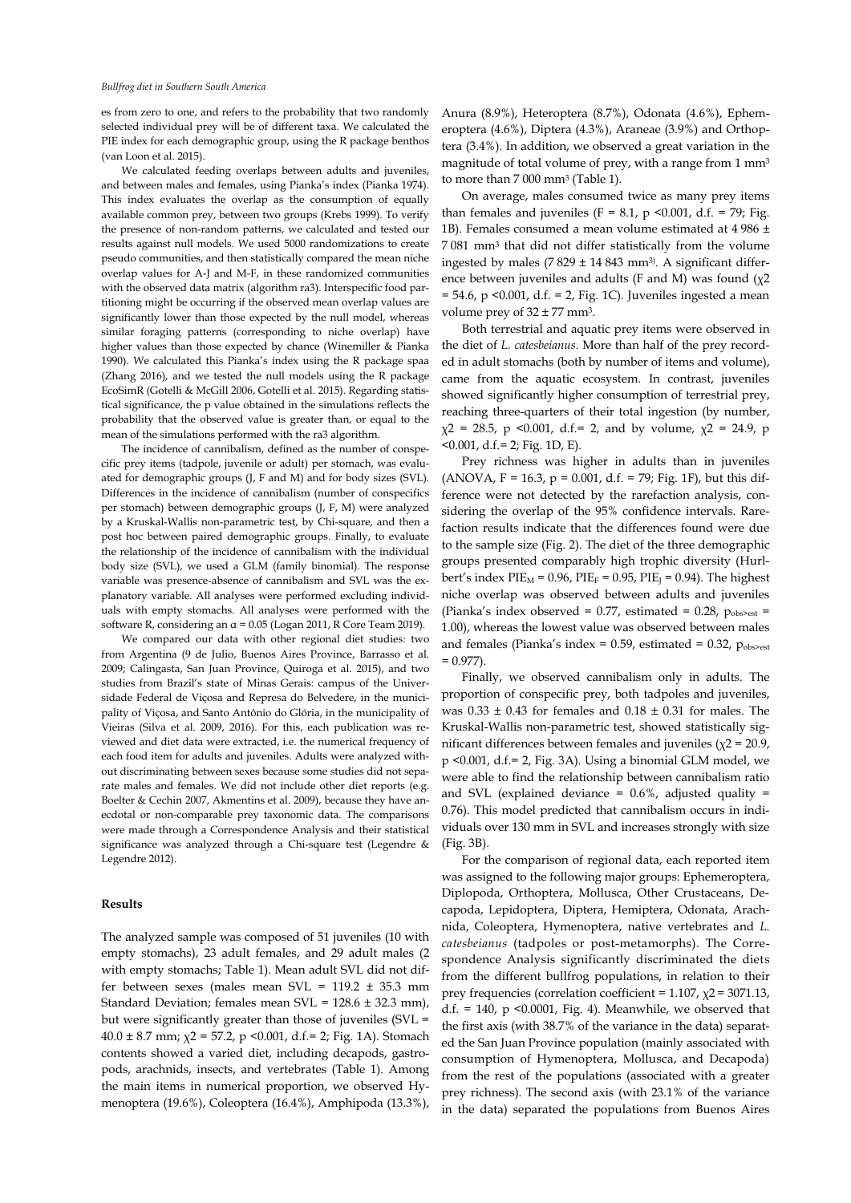es from zero to one, and refers to the probability that two randomly selected individual prey will be of different taxa. We calculated the PIE index for each demographic group, using the R package benthos (van Loon et al. 2015).

We calculated feeding overlaps between adults and juveniles, and between males and females, using Pianka's index (Pianka 1974). This index evaluates the overlap as the consumption of equally available common prey, between two groups (Krebs 1999). To verify the presence of non-random patterns, we calculated and tested our results against null models. We used 5000 randomizations to create pseudo communities, and then statistically compared the mean niche overlap values for A-J and M-F, in these randomized communities with the observed data matrix (algorithm ra3). Interspecific food partitioning might be occurring if the observed mean overlap values are significantly lower than those expected by the null model, whereas similar foraging patterns (corresponding to niche overlap) have higher values than those expected by chance (Winemiller & Pianka 1990). We calculated this Pianka's index using the R package spaa (Zhang 2016), and we tested the null models using the R package EcoSimR (Gotelli & McGill 2006, Gotelli et al. 2015). Regarding statistical significance, the p value obtained in the simulations reflects the probability that the observed value is greater than, or equal to the mean of the simulations performed with the ra3 algorithm.

The incidence of cannibalism, defined as the number of conspecific prey items (tadpole, juvenile or adult) per stomach, was evaluated for demographic groups (J, F and M) and for body sizes (SVL). Differences in the incidence of cannibalism (number of conspecifics per stomach) between demographic groups (J, F, M) were analyzed by a Kruskal-Wallis non-parametric test, by Chi-square, and then a post hoc between paired demographic groups. Finally, to evaluate the relationship of the incidence of cannibalism with the individual body size (SVL), we used a GLM (family binomial). The response variable was presence-absence of cannibalism and SVL was the explanatory variable. All analyses were performed excluding individuals with empty stomachs. All analyses were performed with the software R, considering an α = 0.05 (Logan 2011, R Core Team 2019).

We compared our data with other regional diet studies: two from Argentina (9 de Julio, Buenos Aires Province, Barrasso et al. 2009; Calingasta, San Juan Province, Quiroga et al. 2015), and two studies from Brazil's state of Minas Gerais: campus of the Universidade Federal de Viçosa and Represa do Belvedere, in the municipality of Viçosa, and Santo Antônio do Glória, in the municipality of Vieiras (Silva et al. 2009, 2016). For this, each publication was reviewed and diet data were extracted, i.e. the numerical frequency of each food item for adults and juveniles. Adults were analyzed without discriminating between sexes because some studies did not separate males and females. We did not include other diet reports (e.g. Boelter & Cechin 2007, Akmentins et al. 2009), because they have anecdotal or non-comparable prey taxonomic data. The comparisons were made through a Correspondence Analysis and their statistical significance was analyzed through a Chi-square test (Legendre & Legendre 2012).

### **Results**

The analyzed sample was composed of 51 juveniles (10 with empty stomachs), 23 adult females, and 29 adult males (2 with empty stomachs; Table 1). Mean adult SVL did not differ between sexes (males mean SVL = 119.2 ± 35.3 mm Standard Deviation; females mean SVL = 128.6 ± 32.3 mm), but were significantly greater than those of juveniles (SVL =  $40.0 \pm 8.7$  mm;  $\chi$ 2 = 57.2, p < 0.001, d.f. = 2; Fig. 1A). Stomach contents showed a varied diet, including decapods, gastropods, arachnids, insects, and vertebrates (Table 1). Among the main items in numerical proportion, we observed Hymenoptera (19.6%), Coleoptera (16.4%), Amphipoda (13.3%), Anura (8.9%), Heteroptera (8.7%), Odonata (4.6%), Ephemeroptera (4.6%), Diptera (4.3%), Araneae (3.9%) and Orthoptera (3.4%). In addition, we observed a great variation in the magnitude of total volume of prey, with a range from 1 mm<sup>3</sup> to more than 7 000 mm<sup>3</sup> (Table 1).

On average, males consumed twice as many prey items than females and juveniles (F = 8.1, p < 0.001, d.f. = 79; Fig. 1B). Females consumed a mean volume estimated at 4 986 ± 7 081 mm<sup>3</sup> that did not differ statistically from the volume ingested by males (7 829 ± 14 843 mm<sup>3)</sup>. A significant difference between juveniles and adults (F and M) was found  $(\chi^2)$  $= 54.6$ , p < 0.001, d.f.  $= 2$ , Fig. 1C). Juveniles ingested a mean volume prey of  $32 \pm 77$  mm<sup>3</sup>.

Both terrestrial and aquatic prey items were observed in the diet of *L. catesbeianus*. More than half of the prey recorded in adult stomachs (both by number of items and volume), came from the aquatic ecosystem. In contrast, juveniles showed significantly higher consumption of terrestrial prey, reaching three-quarters of their total ingestion (by number,  $x^2$  = 28.5, p < 0.001, d.f. = 2, and by volume,  $x^2$  = 24.9, p  $50.001$ , d.f.= 2; Fig. 1D, E).

Prey richness was higher in adults than in juveniles (ANOVA,  $F = 16.3$ ,  $p = 0.001$ , d.f. = 79; Fig. 1F), but this difference were not detected by the rarefaction analysis, considering the overlap of the 95% confidence intervals. Rarefaction results indicate that the differences found were due to the sample size (Fig. 2). The diet of the three demographic groups presented comparably high trophic diversity (Hurlbert's index PIE<sub>M</sub> = 0.96, PIE<sub>F</sub> = 0.95, PIE<sub>J</sub> = 0.94). The highest niche overlap was observed between adults and juveniles (Pianka's index observed =  $0.77$ , estimated =  $0.28$ ,  $p_{\text{obs}\text{est}}$  = 1.00), whereas the lowest value was observed between males and females (Pianka's index =  $0.59$ , estimated =  $0.32$ ,  $p_{\text{obs}\text{--}est}$  $= 0.977$ ).

Finally, we observed cannibalism only in adults. The proportion of conspecific prey, both tadpoles and juveniles, was  $0.33 \pm 0.43$  for females and  $0.18 \pm 0.31$  for males. The Kruskal-Wallis non-parametric test, showed statistically significant differences between females and juveniles ( $χ$ 2 = 20.9, p <0.001, d.f.= 2, Fig. 3A). Using a binomial GLM model, we were able to find the relationship between cannibalism ratio and SVL (explained deviance =  $0.6\%$ , adjusted quality = 0.76). This model predicted that cannibalism occurs in individuals over 130 mm in SVL and increases strongly with size (Fig. 3B).

For the comparison of regional data, each reported item was assigned to the following major groups: Ephemeroptera, Diplopoda, Orthoptera, Mollusca, Other Crustaceans, Decapoda, Lepidoptera, Diptera, Hemiptera, Odonata, Arachnida, Coleoptera, Hymenoptera, native vertebrates and *L. catesbeianus* (tadpoles or post-metamorphs). The Correspondence Analysis significantly discriminated the diets from the different bullfrog populations, in relation to their prey frequencies (correlation coefficient =  $1.107$ ,  $\chi$ 2 = 3071.13, d.f.  $= 140$ , p <0.0001, Fig. 4). Meanwhile, we observed that the first axis (with 38.7% of the variance in the data) separated the San Juan Province population (mainly associated with consumption of Hymenoptera, Mollusca, and Decapoda) from the rest of the populations (associated with a greater prey richness). The second axis (with 23.1% of the variance in the data) separated the populations from Buenos Aires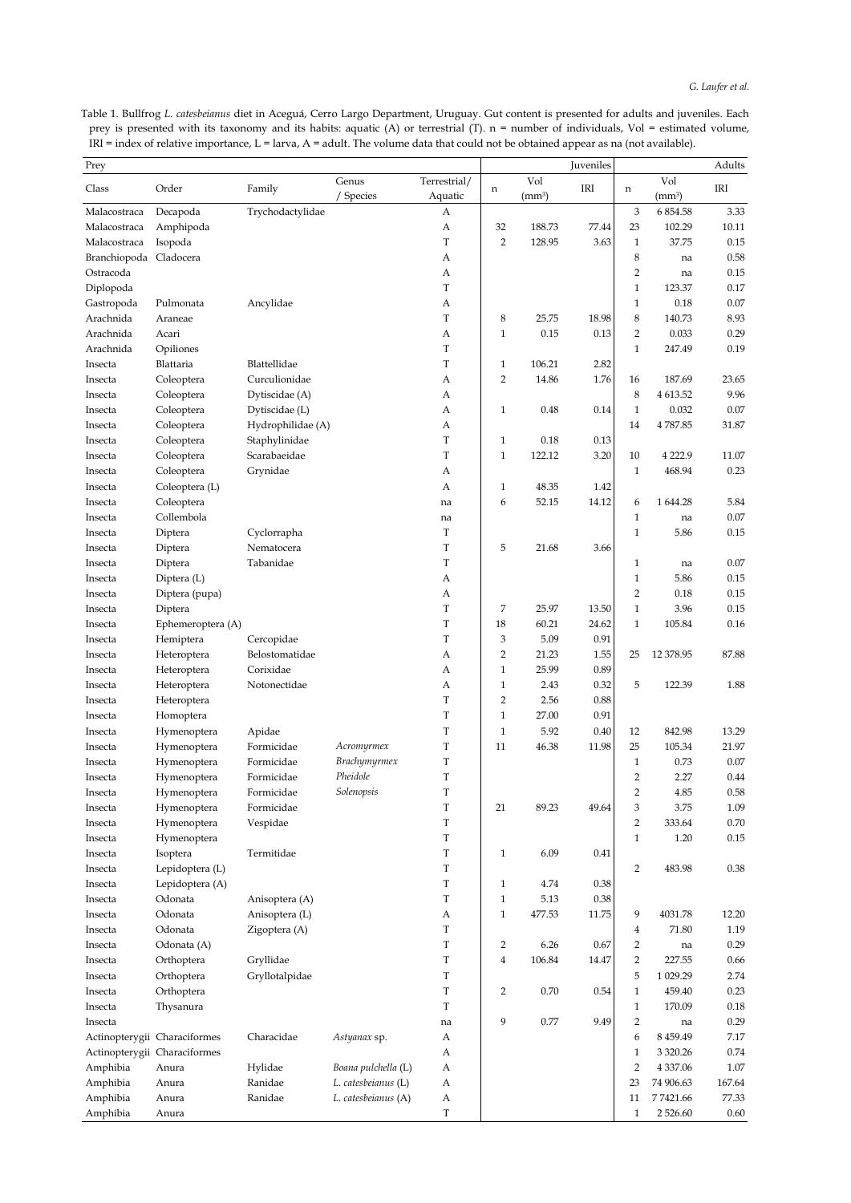Table 1. Bullfrog *L. catesbeianus* diet in Aceguá, Cerro Largo Department, Uruguay. Gut content is presented for adults and juveniles. Each prey is presented with its taxonomy and its habits: aquatic (A) or terrestrial (T). n = number of individuals, Vol = estimated volume,  $IRI = index$  of relative importance,  $L = larva$ ,  $A = adult$ . The volume data that could not be obtained appear as na (not available).

| Prey         |                              |                      |                     |                         |                |                           | Juveniles |                     |               | Adults |
|--------------|------------------------------|----------------------|---------------------|-------------------------|----------------|---------------------------|-----------|---------------------|---------------|--------|
| Class        | Order                        | Family               | Genus<br>/ Species  | Terrestrial/<br>Aquatic | n              | Vol<br>(mm <sup>3</sup> ) | IRI       | n                   | Vol<br>(mm3)  | IRI    |
| Malacostraca | Decapoda                     | Trychodactylidae     |                     | А                       |                |                           |           | 3                   | 6 854.58      | 3.33   |
| Malacostraca | Amphipoda                    |                      |                     | А                       | 32             | 188.73                    | 77.44     | 23                  | 102.29        | 10.11  |
| Malacostraca | Isopoda                      |                      |                     | T                       | $\overline{2}$ | 128.95                    | 3.63      | $\mathbf{1}$        | 37.75         | 0.15   |
| Branchiopoda | Cladocera                    |                      |                     | А                       |                |                           |           | 8                   | na            | 0.58   |
| Ostracoda    |                              |                      |                     | А                       |                |                           |           | $\overline{2}$      | na            | 0.15   |
| Diplopoda    |                              |                      |                     | T                       |                |                           |           | $\mathbf{1}$        | 123.37        | 0.17   |
| Gastropoda   | Pulmonata                    | Ancylidae            |                     | А                       |                |                           |           | $\mathbf{1}$        | 0.18          | 0.07   |
| Arachnida    | Araneae                      |                      |                     | T                       | 8              | 25.75                     | 18.98     | 8                   | 140.73        | 8.93   |
| Arachnida    | Acari                        |                      |                     | А                       | $\mathbf{1}$   | 0.15                      | 0.13      | $\overline{2}$      | 0.033         | 0.29   |
| Arachnida    | Opiliones                    |                      |                     | T                       |                |                           |           | $\mathbf{1}$        | 247.49        | 0.19   |
| Insecta      | Blattaria                    | Blattellidae         |                     | $\mathbf T$             | $\mathbf{1}$   | 106.21                    | 2.82      |                     |               |        |
| Insecta      | Coleoptera                   | Curculionidae        |                     | А                       | $\overline{2}$ | 14.86                     | 1.76      | 16                  | 187.69        | 23.65  |
| Insecta      | Coleoptera                   | Dytiscidae (A)       |                     | А                       |                |                           |           | 8                   | 4 613.52      | 9.96   |
| Insecta      | Coleoptera                   | Dytiscidae (L)       |                     | А                       | $\mathbf{1}$   | 0.48                      | 0.14      | $\mathbf{1}$        | 0.032         | 0.07   |
| Insecta      | Coleoptera                   | Hydrophilidae (A)    |                     | А                       |                |                           |           | 14                  | 4787.85       | 31.87  |
| Insecta      | Coleoptera                   | Staphylinidae        |                     | $\mathbf T$             | $\mathbf{1}$   | 0.18                      | 0.13      |                     |               |        |
| Insecta      | Coleoptera                   | Scarabaeidae         |                     | T                       | $\mathbf{1}$   | 122.12                    | 3.20      | 10                  | 4 2 2 2.9     | 11.07  |
| Insecta      | Coleoptera                   | Grynidae             |                     | А                       |                |                           |           | $\mathbf{1}$        | 468.94        | 0.23   |
| Insecta      | Coleoptera (L)               |                      |                     | А                       | $\mathbf{1}$   | 48.35                     | 1.42      |                     |               |        |
| Insecta      | Coleoptera                   |                      |                     | na                      | 6              | 52.15                     | 14.12     | 6                   | 1 644.28      | 5.84   |
| Insecta      | Collembola                   |                      |                     | na                      |                |                           |           | $\mathbf{1}$        | na            | 0.07   |
| Insecta      | Diptera                      | Cyclorrapha          |                     | T                       |                |                           |           | $\mathbf{1}$        | 5.86          | 0.15   |
| Insecta      | Diptera                      | Nematocera           |                     | T                       | 5              | 21.68                     | 3.66      |                     |               |        |
| Insecta      | Diptera                      | Tabanidae            |                     | T                       |                |                           |           | $\mathbf{1}$        | na            | 0.07   |
| Insecta      | Diptera (L)                  |                      |                     | А                       |                |                           |           | $\mathbf{1}$        | 5.86          | 0.15   |
| Insecta      | Diptera (pupa)               |                      |                     | А                       |                |                           |           | $\overline{2}$      | 0.18          | 0.15   |
| Insecta      | Diptera                      |                      |                     | T                       | 7              | 25.97                     | 13.50     | $\mathbf{1}$        | 3.96          | 0.15   |
| Insecta      | Ephemeroptera (A)            |                      |                     | $\mathbf T$             | 18             | 60.21                     | 24.62     | $\mathbf{1}$        | 105.84        | 0.16   |
| Insecta      | Hemiptera                    | Cercopidae           |                     | $\mathbf T$             | 3              | 5.09                      | 0.91      |                     |               |        |
| Insecta      | Heteroptera                  | Belostomatidae       |                     | А                       | $\overline{2}$ | 21.23                     | 1.55      | 25                  | 12 378.95     | 87.88  |
| Insecta      | Heteroptera                  | Corixidae            |                     | А                       | $\mathbf{1}$   | 25.99                     | 0.89      |                     |               |        |
| Insecta      | Heteroptera                  | Notonectidae         |                     | А                       | $\mathbf{1}$   | 2.43                      | 0.32      | 5                   | 122.39        | 1.88   |
| Insecta      |                              |                      |                     | T                       | $\overline{2}$ | 2.56                      | 0.88      |                     |               |        |
| Insecta      | Heteroptera                  |                      |                     | $\mathbf T$             | $\mathbf{1}$   | 27.00                     | 0.91      |                     |               |        |
| Insecta      | Homoptera                    |                      |                     | $\mathbf T$             | $\mathbf{1}$   | 5.92                      | 0.40      | 12                  | 842.98        | 13.29  |
| Insecta      | Hymenoptera                  | Apidae<br>Formicidae |                     | T                       | 11             | 46.38                     | 11.98     | 25                  | 105.34        | 21.97  |
|              | Hymenoptera                  |                      | Acromyrmex          |                         |                |                           |           |                     |               |        |
| Insecta      | Hymenoptera                  | Formicidae           | Brachymyrmex        | T<br>T                  |                |                           |           | $\mathbf{1}$        | 0.73          | 0.07   |
| Insecta      | Hymenoptera                  | Formicidae           | Pheidole            | T                       |                |                           |           | 2<br>$\overline{2}$ | 2.27          | 0.44   |
| Insecta      | Hymenoptera                  | Formicidae           | Solenopsis          |                         |                |                           |           |                     | 4.85          | 0.58   |
| Insecta      | Hymenoptera                  | Formicidae           |                     | T                       | 21             | 89.23                     | 49.64     | 3                   | 3.75          | 1.09   |
| Insecta      | Hymenoptera                  | Vespidae             |                     | $\mathbf T$             |                |                           |           | $\overline{c}$      | 333.64        | 0.70   |
| Insecta      | Hymenoptera                  |                      |                     | $\mathbf T$             |                |                           |           | $\mathbf{1}$        | 1.20          | 0.15   |
| Insecta      | Isoptera                     | Termitidae           |                     | $\mathbf T$             | $\mathbf{1}$   | 6.09                      | 0.41      |                     |               |        |
| Insecta      | Lepidoptera (L)              |                      |                     | $\mathbf T$             |                |                           |           | 2                   | 483.98        | 0.38   |
| Insecta      | Lepidoptera (A)              |                      |                     | $\mathbf T$             | $\mathbf{1}$   | 4.74                      | 0.38      |                     |               |        |
| Insecta      | Odonata                      | Anisoptera (A)       |                     | T                       | $1\,$          | 5.13                      | 0.38      |                     |               |        |
| Insecta      | Odonata                      | Anisoptera (L)       |                     | А                       | $\mathbf{1}$   | 477.53                    | 11.75     | 9                   | 4031.78       | 12.20  |
| Insecta      | Odonata                      | Zigoptera (A)        |                     | $\mathbf T$             |                |                           |           | 4                   | 71.80         | 1.19   |
| Insecta      | Odonata (A)                  |                      |                     | $\mathbf T$             | $\overline{2}$ | 6.26                      | 0.67      | $\overline{2}$      | na            | 0.29   |
| Insecta      | Orthoptera                   | Gryllidae            |                     | T                       | $\overline{4}$ | 106.84                    | 14.47     | $\overline{2}$      | 227.55        | 0.66   |
| Insecta      | Orthoptera                   | Gryllotalpidae       |                     | T                       |                |                           |           | 5                   | 1 029.29      | 2.74   |
| Insecta      | Orthoptera                   |                      |                     | $\mathbf T$             | $\overline{2}$ | 0.70                      | 0.54      | $\mathbf{1}$        | 459.40        | 0.23   |
| Insecta      | Thysanura                    |                      |                     | $\mathbf T$             |                |                           |           | $\mathbf{1}$        | 170.09        | 0.18   |
| Insecta      |                              |                      |                     | na                      | 9              | 0.77                      | 9.49      | $\overline{2}$      | na            | 0.29   |
|              | Actinopterygii Characiformes | Characidae           | Astyanax sp.        | А                       |                |                           |           | 6                   | 8 4 5 9 . 4 9 | 7.17   |
|              | Actinopterygii Characiformes |                      |                     | А                       |                |                           |           | $\mathbf{1}$        | 3 3 2 0.26    | 0.74   |
| Amphibia     | Anura                        | Hylidae              | Boana pulchella (L) | А                       |                |                           |           | 2                   | 4 3 3 7 . 0 6 | 1.07   |
| Amphibia     | Anura                        | Ranidae              | L. catesbeianus (L) | А                       |                |                           |           | 23                  | 74 906.63     | 167.64 |
| Amphibia     | Anura                        | Ranidae              | L. catesbeianus (A) | А                       |                |                           |           | 11                  | 77421.66      | 77.33  |
| Amphibia     | Anura                        |                      |                     | $\mathbf T$             |                |                           |           | $\mathbf{1}$        | 2526.60       | 0.60   |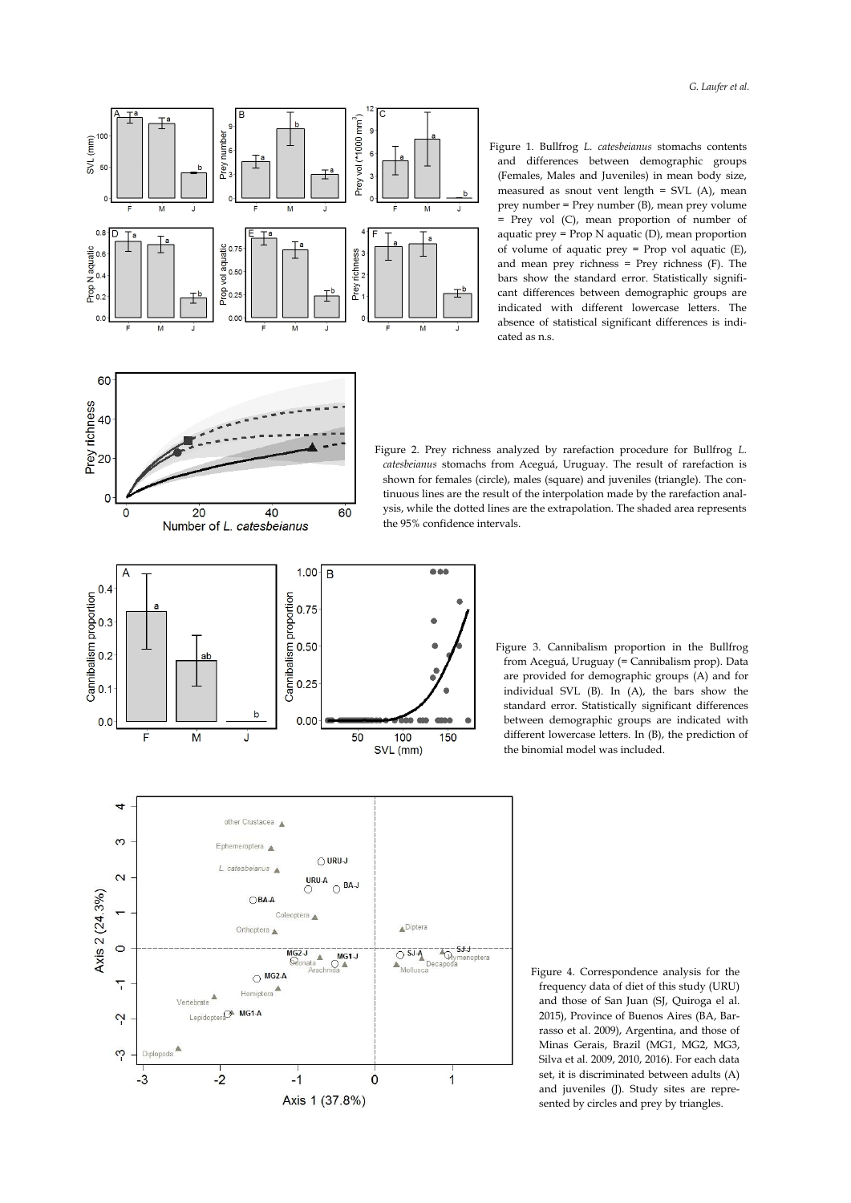

Figure 1. Bullfrog *L. catesbeianus* stomachs contents and differences between demographic groups (Females, Males and Juveniles) in mean body size, measured as snout vent length = SVL (A), mean prey number = Prey number (B), mean prey volume = Prey vol (C), mean proportion of number of aquatic prey = Prop N aquatic (D), mean proportion of volume of aquatic prey = Prop vol aquatic (E), and mean prey richness = Prey richness (F). The bars show the standard error. Statistically significant differences between demographic groups are indicated with different lowercase letters. The absence of statistical significant differences is indicated as n.s.



Figure 2. Prey richness analyzed by rarefaction procedure for Bullfrog *L. catesbeianus* stomachs from Aceguá, Uruguay. The result of rarefaction is shown for females (circle), males (square) and juveniles (triangle). The continuous lines are the result of the interpolation made by the rarefaction analysis, while the dotted lines are the extrapolation. The shaded area represents the 95% confidence intervals.



Figure 3. Cannibalism proportion in the Bullfrog from Aceguá, Uruguay (= Cannibalism prop). Data are provided for demographic groups (A) and for individual SVL (B). In (A), the bars show the standard error. Statistically significant differences between demographic groups are indicated with different lowercase letters. In (B), the prediction of the binomial model was included.



Figure 4. Correspondence analysis for the frequency data of diet of this study (URU) and those of San Juan (SJ, Quiroga el al. 2015), Province of Buenos Aires (BA, Barrasso et al. 2009), Argentina, and those of Minas Gerais, Brazil (MG1, MG2, MG3, Silva et al. 2009, 2010, 2016). For each data set, it is discriminated between adults (A) and juveniles (J). Study sites are represented by circles and prey by triangles.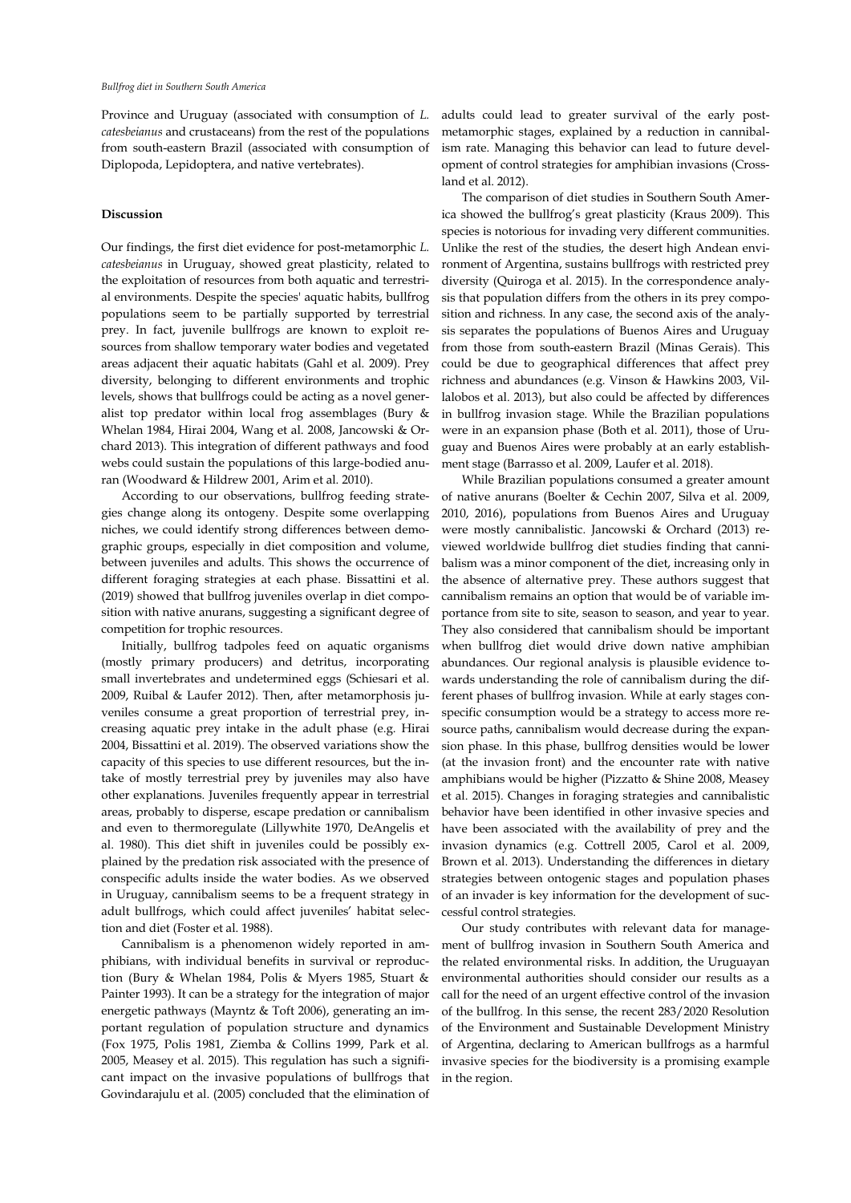Province and Uruguay (associated with consumption of *L. catesbeianus* and crustaceans) from the rest of the populations from south-eastern Brazil (associated with consumption of Diplopoda, Lepidoptera, and native vertebrates).

## **Discussion**

Our findings, the first diet evidence for post-metamorphic *L. catesbeianus* in Uruguay, showed great plasticity, related to the exploitation of resources from both aquatic and terrestrial environments. Despite the species' aquatic habits, bullfrog populations seem to be partially supported by terrestrial prey. In fact, juvenile bullfrogs are known to exploit resources from shallow temporary water bodies and vegetated areas adjacent their aquatic habitats (Gahl et al. 2009). Prey diversity, belonging to different environments and trophic levels, shows that bullfrogs could be acting as a novel generalist top predator within local frog assemblages (Bury & Whelan 1984, Hirai 2004, Wang et al. 2008, Jancowski & Orchard 2013). This integration of different pathways and food webs could sustain the populations of this large-bodied anuran (Woodward & Hildrew 2001, Arim et al. 2010).

According to our observations, bullfrog feeding strategies change along its ontogeny. Despite some overlapping niches, we could identify strong differences between demographic groups, especially in diet composition and volume, between juveniles and adults. This shows the occurrence of different foraging strategies at each phase. Bissattini et al. (2019) showed that bullfrog juveniles overlap in diet composition with native anurans, suggesting a significant degree of competition for trophic resources.

Initially, bullfrog tadpoles feed on aquatic organisms (mostly primary producers) and detritus, incorporating small invertebrates and undetermined eggs (Schiesari et al. 2009, Ruibal & Laufer 2012). Then, after metamorphosis juveniles consume a great proportion of terrestrial prey, increasing aquatic prey intake in the adult phase (e.g. Hirai 2004, Bissattini et al. 2019). The observed variations show the capacity of this species to use different resources, but the intake of mostly terrestrial prey by juveniles may also have other explanations. Juveniles frequently appear in terrestrial areas, probably to disperse, escape predation or cannibalism and even to thermoregulate (Lillywhite 1970, DeAngelis et al. 1980). This diet shift in juveniles could be possibly explained by the predation risk associated with the presence of conspecific adults inside the water bodies. As we observed in Uruguay, cannibalism seems to be a frequent strategy in adult bullfrogs, which could affect juveniles' habitat selection and diet (Foster et al. 1988).

Cannibalism is a phenomenon widely reported in amphibians, with individual benefits in survival or reproduction (Bury & Whelan 1984, Polis & Myers 1985, Stuart & Painter 1993). It can be a strategy for the integration of major energetic pathways (Mayntz & Toft 2006), generating an important regulation of population structure and dynamics (Fox 1975, Polis 1981, Ziemba & Collins 1999, Park et al. 2005, Measey et al. 2015). This regulation has such a significant impact on the invasive populations of bullfrogs that Govindarajulu et al. (2005) concluded that the elimination of adults could lead to greater survival of the early postmetamorphic stages, explained by a reduction in cannibalism rate. Managing this behavior can lead to future development of control strategies for amphibian invasions (Crossland et al. 2012).

The comparison of diet studies in Southern South America showed the bullfrog's great plasticity (Kraus 2009). This species is notorious for invading very different communities. Unlike the rest of the studies, the desert high Andean environment of Argentina, sustains bullfrogs with restricted prey diversity (Quiroga et al. 2015). In the correspondence analysis that population differs from the others in its prey composition and richness. In any case, the second axis of the analysis separates the populations of Buenos Aires and Uruguay from those from south-eastern Brazil (Minas Gerais). This could be due to geographical differences that affect prey richness and abundances (e.g. Vinson & Hawkins 2003, Villalobos et al. 2013), but also could be affected by differences in bullfrog invasion stage. While the Brazilian populations were in an expansion phase (Both et al. 2011), those of Uruguay and Buenos Aires were probably at an early establishment stage (Barrasso et al. 2009, Laufer et al. 2018).

While Brazilian populations consumed a greater amount of native anurans (Boelter & Cechin 2007, Silva et al. 2009, 2010, 2016), populations from Buenos Aires and Uruguay were mostly cannibalistic. Jancowski & Orchard (2013) reviewed worldwide bullfrog diet studies finding that cannibalism was a minor component of the diet, increasing only in the absence of alternative prey. These authors suggest that cannibalism remains an option that would be of variable importance from site to site, season to season, and year to year. They also considered that cannibalism should be important when bullfrog diet would drive down native amphibian abundances. Our regional analysis is plausible evidence towards understanding the role of cannibalism during the different phases of bullfrog invasion. While at early stages conspecific consumption would be a strategy to access more resource paths, cannibalism would decrease during the expansion phase. In this phase, bullfrog densities would be lower (at the invasion front) and the encounter rate with native amphibians would be higher (Pizzatto & Shine 2008, Measey et al. 2015). Changes in foraging strategies and cannibalistic behavior have been identified in other invasive species and have been associated with the availability of prey and the invasion dynamics (e.g. Cottrell 2005, Carol et al. 2009, Brown et al. 2013). Understanding the differences in dietary strategies between ontogenic stages and population phases of an invader is key information for the development of successful control strategies.

Our study contributes with relevant data for management of bullfrog invasion in Southern South America and the related environmental risks. In addition, the Uruguayan environmental authorities should consider our results as a call for the need of an urgent effective control of the invasion of the bullfrog. In this sense, the recent 283/2020 Resolution of the Environment and Sustainable Development Ministry of Argentina, declaring to American bullfrogs as a harmful invasive species for the biodiversity is a promising example in the region.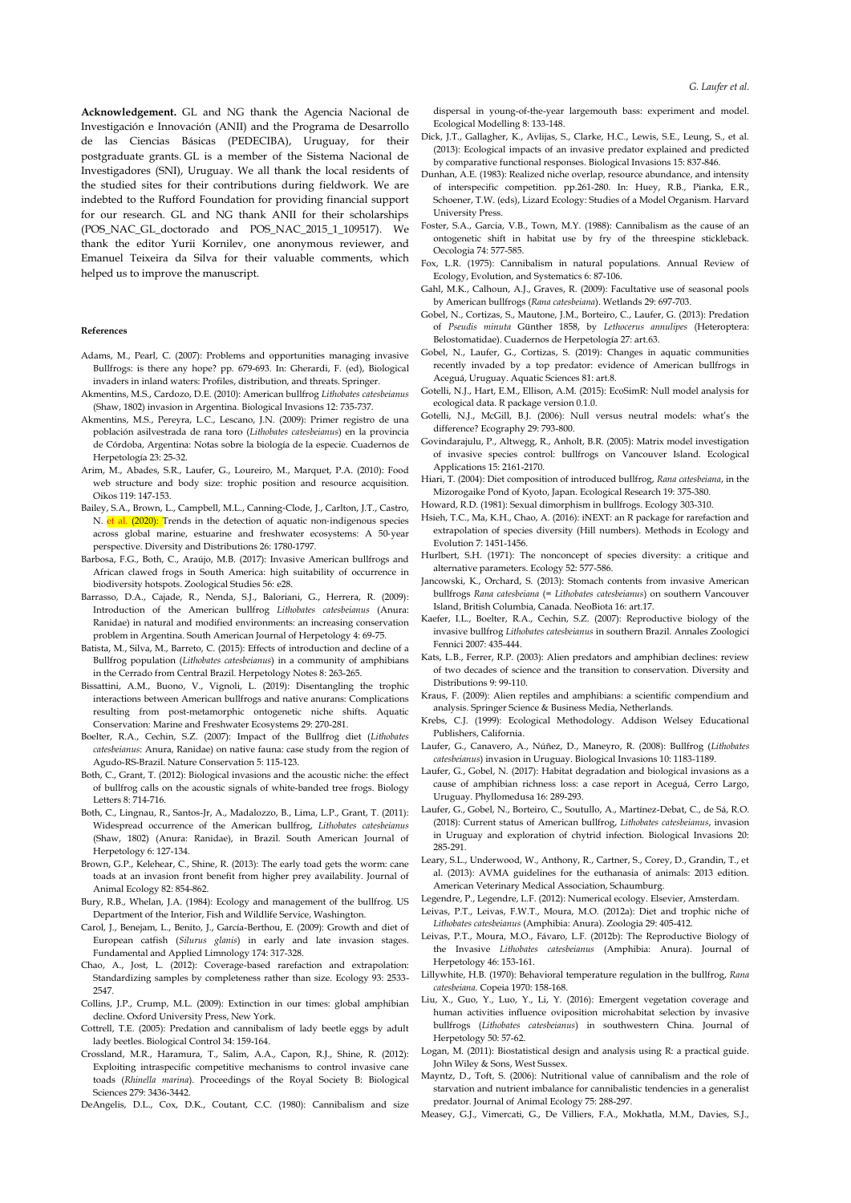**Acknowledgement.** GL and NG thank the Agencia Nacional de Investigación e Innovación (ANII) and the Programa de Desarrollo de las Ciencias Básicas (PEDECIBA), Uruguay, for their postgraduate grants. GL is a member of the Sistema Nacional de Investigadores (SNI), Uruguay. We all thank the local residents of the studied sites for their contributions during fieldwork. We are indebted to the Rufford Foundation for providing financial support for our research. GL and NG thank ANII for their scholarships (POS\_NAC\_GL\_doctorado and POS\_NAC\_2015\_1\_109517). We thank the editor Yurii Kornilev, one anonymous reviewer, and Emanuel Teixeira da Silva for their valuable comments, which helped us to improve the manuscript.

#### **References**

- Adams, M., Pearl, C. (2007): Problems and opportunities managing invasive Bullfrogs: is there any hope? pp. 679-693. In: Gherardi, F. (ed), Biological invaders in inland waters: Profiles, distribution, and threats. Springer.
- Akmentins, M.S., Cardozo, D.E. (2010): American bullfrog *Lithobates catesbeianus* (Shaw, 1802) invasion in Argentina. Biological Invasions 12: 735-737.
- Akmentins, M.S., Pereyra, L.C., Lescano, J.N. (2009): Primer registro de una población asilvestrada de rana toro (*Lithobates catesbeianus*) en la provincia de Córdoba, Argentina: Notas sobre la biología de la especie. Cuadernos de Herpetología 23: 25-32.
- Arim, M., Abades, S.R., Laufer, G., Loureiro, M., Marquet, P.A. (2010): Food web structure and body size: trophic position and resource acquisition. Oikos 119: 147-153.
- Bailey, S.A., Brown, L., Campbell, M.L., Canning‐Clode, J., Carlton, J.T., Castro, N. et al. (2020): Trends in the detection of aquatic non-indigenous species across global marine, estuarine and freshwater ecosystems: A 50‐year perspective. Diversity and Distributions 26: 1780-1797.
- Barbosa, F.G., Both, C., Araújo, M.B. (2017): Invasive American bullfrogs and African clawed frogs in South America: high suitability of occurrence in biodiversity hotspots. Zoological Studies 56: e28.
- Barrasso, D.A., Cajade, R., Nenda, S.J., Baloriani, G., Herrera, R. (2009): Introduction of the American bullfrog *Lithobates catesbeianus* (Anura: Ranidae) in natural and modified environments: an increasing conservation problem in Argentina. South American Journal of Herpetology 4: 69-75.
- Batista, M., Silva, M., Barreto, C. (2015): Effects of introduction and decline of a Bullfrog population (*Lithobates catesbeianus*) in a community of amphibians in the Cerrado from Central Brazil. Herpetology Notes 8: 263-265.
- Bissattini, A.M., Buono, V., Vignoli, L. (2019): Disentangling the trophic interactions between American bullfrogs and native anurans: Complications resulting from post-metamorphic ontogenetic niche shifts. Aquatic Conservation: Marine and Freshwater Ecosystems 29: 270-281.
- Boelter, R.A., Cechin, S.Z. (2007): Impact of the Bullfrog diet (*Lithobates catesbeianus*: Anura, Ranidae) on native fauna: case study from the region of Agudo-RS-Brazil. Nature Conservation 5: 115-123.
- Both, C., Grant, T. (2012): Biological invasions and the acoustic niche: the effect of bullfrog calls on the acoustic signals of white-banded tree frogs. Biology Letters 8: 714-716.
- Both, C., Lingnau, R., Santos-Jr, A., Madalozzo, B., Lima, L.P., Grant, T. (2011): Widespread occurrence of the American bullfrog, *Lithobates catesbeianus* (Shaw, 1802) (Anura: Ranidae), in Brazil. South American Journal of Herpetology 6: 127-134.
- Brown, G.P., Kelehear, C., Shine, R. (2013): The early toad gets the worm: cane toads at an invasion front benefit from higher prey availability. Journal of Animal Ecology 82: 854-862.
- Bury, R.B., Whelan, J.A. (1984): Ecology and management of the bullfrog. US Department of the Interior, Fish and Wildlife Service, Washington.
- Carol, J., Benejam, L., Benito, J., García-Berthou, E. (2009): Growth and diet of European catfish (*Silurus glanis*) in early and late invasion stages. Fundamental and Applied Limnology 174: 317-328.
- Chao, A., Jost, L. (2012): Coverage-based rarefaction and extrapolation: Standardizing samples by completeness rather than size. Ecology 93: 2533- 2547.
- Collins, J.P., Crump, M.L. (2009): Extinction in our times: global amphibian decline. Oxford University Press, New York.
- Cottrell, T.E. (2005): Predation and cannibalism of lady beetle eggs by adult lady beetles. Biological Control 34: 159-164.
- Crossland, M.R., Haramura, T., Salim, A.A., Capon, R.J., Shine, R. (2012): Exploiting intraspecific competitive mechanisms to control invasive cane toads (*Rhinella marina*). Proceedings of the Royal Society B: Biological Sciences 279: 3436-3442.
- DeAngelis, D.L., Cox, D.K., Coutant, C.C. (1980): Cannibalism and size

dispersal in young-of-the-year largemouth bass: experiment and model. Ecological Modelling 8: 133-148.

- Dick, J.T., Gallagher, K., Avlijas, S., Clarke, H.C., Lewis, S.E., Leung, S., et al. (2013): Ecological impacts of an invasive predator explained and predicted by comparative functional responses. Biological Invasions 15: 837-846.
- Dunhan, A.E. (1983): Realized niche overlap, resource abundance, and intensity of interspecific competition. pp.261-280. In: Huey, R.B., Pianka, E.R., Schoener, T.W. (eds), Lizard Ecology: Studies of a Model Organism. Harvard University Press.
- Foster, S.A., Garcia, V.B., Town, M.Y. (1988): Cannibalism as the cause of an ontogenetic shift in habitat use by fry of the threespine stickleback. Oecologia 74: 577-585.
- Fox, L.R. (1975): Cannibalism in natural populations. Annual Review of Ecology, Evolution, and Systematics 6: 87-106.
- Gahl, M.K., Calhoun, A.J., Graves, R. (2009): Facultative use of seasonal pools by American bullfrogs (*Rana catesbeiana*). Wetlands 29: 697-703.
- Gobel, N., Cortizas, S., Mautone, J.M., Borteiro, C., Laufer, G. (2013): Predation of *Pseudis minuta* Günther 1858, by *Lethocerus annulipes* (Heteroptera: Belostomatidae). Cuadernos de Herpetología 27: art.63.
- Gobel, N., Laufer, G., Cortizas, S. (2019): Changes in aquatic communities recently invaded by a top predator: evidence of American bullfrogs in Aceguá, Uruguay. Aquatic Sciences 81: art.8.
- Gotelli, N.J., Hart, E.M., Ellison, A.M. (2015): EcoSimR: Null model analysis for ecological data. R package version 0.1.0.
- Gotelli, N.J., McGill, B.J. (2006): Null versus neutral models: what's the difference? Ecography 29: 793-800.
- Govindarajulu, P., Altwegg, R., Anholt, B.R. (2005): Matrix model investigation of invasive species control: bullfrogs on Vancouver Island. Ecological Applications 15: 2161-2170.
- Hiari, T. (2004): Diet composition of introduced bullfrog, *Rana catesbeiana*, in the Mizorogaike Pond of Kyoto, Japan. Ecological Research 19: 375-380.
- Howard, R.D. (1981): Sexual dimorphism in bullfrogs. Ecology 303-310.
- Hsieh, T.C., Ma, K.H., Chao, A. (2016): iNEXT: an R package for rarefaction and extrapolation of species diversity (Hill numbers). Methods in Ecology and Evolution 7: 1451-1456.
- Hurlbert, S.H. (1971): The nonconcept of species diversity: a critique and alternative parameters. Ecology 52: 577-586.
- Jancowski, K., Orchard, S. (2013): Stomach contents from invasive American bullfrogs *Rana catesbeiana* (= *Lithobates catesbeianus*) on southern Vancouver Island, British Columbia, Canada. NeoBiota 16: art.17.
- Kaefer, I.L., Boelter, R.A., Cechin, S.Z. (2007): Reproductive biology of the invasive bullfrog *Lithobates catesbeianus* in southern Brazil. Annales Zoologici Fennici 2007: 435-444.
- Kats, L.B., Ferrer, R.P. (2003): Alien predators and amphibian declines: review of two decades of science and the transition to conservation. Diversity and Distributions 9: 99-110.
- Kraus, F. (2009): Alien reptiles and amphibians: a scientific compendium and analysis. Springer Science & Business Media, Netherlands.
- Krebs, C.J. (1999): Ecological Methodology. Addison Welsey Educational Publishers, California.
- Laufer, G., Canavero, A., Núñez, D., Maneyro, R. (2008): Bullfrog (*Lithobates catesbeianus*) invasion in Uruguay. Biological Invasions 10: 1183-1189.
- Laufer, G., Gobel, N. (2017): Habitat degradation and biological invasions as a cause of amphibian richness loss: a case report in Aceguá, Cerro Largo, Uruguay. Phyllomedusa 16: 289-293.
- Laufer, G., Gobel, N., Borteiro, C., Soutullo, A., Martínez-Debat, C., de Sá, R.O. (2018): Current status of American bullfrog, *Lithobates catesbeianus*, invasion in Uruguay and exploration of chytrid infection. Biological Invasions 20: 285-291.
- Leary, S.L., Underwood, W., Anthony, R., Cartner, S., Corey, D., Grandin, T., et al. (2013): AVMA guidelines for the euthanasia of animals: 2013 edition. American Veterinary Medical Association, Schaumburg.
- Legendre, P., Legendre, L.F. (2012): Numerical ecology. Elsevier, Amsterdam.
- Leivas, P.T., Leivas, F.W.T., Moura, M.O. (2012a): Diet and trophic niche of *Lithobates catesbeianus* (Amphibia: Anura). Zoologia 29: 405-412.
- Leivas, P.T., Moura, M.O., Fávaro, L.F. (2012b): The Reproductive Biology of the Invasive *Lithobates catesbeianus* (Amphibia: Anura). Journal of Herpetology 46: 153-161.
- Lillywhite, H.B. (1970): Behavioral temperature regulation in the bullfrog, *Rana catesbeiana*. Copeia 1970: 158-168.
- Liu, X., Guo, Y., Luo, Y., Li, Y. (2016): Emergent vegetation coverage and human activities influence oviposition microhabitat selection by invasive bullfrogs (*Lithobates catesbeianus*) in southwestern China. Journal of Herpetology 50: 57-62.
- Logan, M. (2011): Biostatistical design and analysis using R: a practical guide. John Wiley & Sons, West Sussex.
- Mayntz, D., Toft, S. (2006): Nutritional value of cannibalism and the role of starvation and nutrient imbalance for cannibalistic tendencies in a generalist predator. Journal of Animal Ecology 75: 288-297.
- Measey, G.J., Vimercati, G., De Villiers, F.A., Mokhatla, M.M., Davies, S.J.,